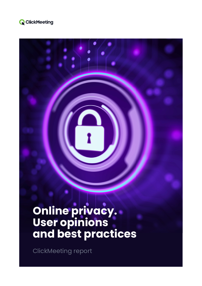

# **Online privacy. User opinions and best practices**

ClickMeeting report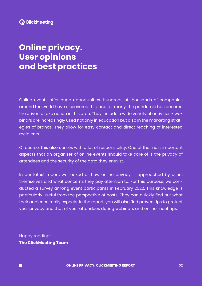# **Online privacy. User opinions and best practices**

Online events offer huge opportunities. Hundreds of thousands of companies around the world have discovered this, and for many, the pandemic has become the driver to take action in this area. They include a wide variety of activities - webinars are increasingly used not only in education but also in the marketing strategies of brands. They allow for easy contact and direct reaching of interested recipients.

Of course, this also comes with a lot of responsibility. One of the most important aspects that an organizer of online events should take care of is the privacy of attendees and the security of the data they entrust.

In our latest report, we looked at how online privacy is approached by users themselves and what concerns they pay attention to. For this purpose, we conducted a survey among event participants in February 2022. This knowledge is particularly useful from the perspective of hosts. They can quickly find out what their audience really expects. In the report, you will also find proven tips to protect your privacy and that of your attendees during webinars and online meetings.

Happy reading! **The ClickMeeting Team** 

 $\blacksquare$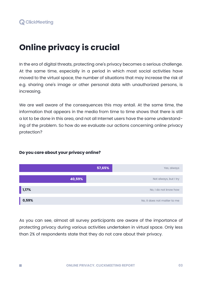# **Online privacy is crucial**

In the era of digital threats, protecting one's privacy becomes a serious challenge. At the same time, especially in a period in which most social activities have moved to the virtual space, the number of situations that may increase the risk of e.g. sharing one's image or other personal data with unauthorized persons, is increasing.

We are well aware of the consequences this may entail. At the same time, the information that appears in the media from time to time shows that there is still a lot to be done in this area, and not all Internet users have the same understanding of the problem. So how do we evaluate our actions concerning online privacy protection?



#### **Do you care about your privacy online?**

m.

As you can see, almost all survey participants are aware of the importance of protecting privacy during various activities undertaken in virtual space. Only less than 2% of respondents state that they do not care about their privacy.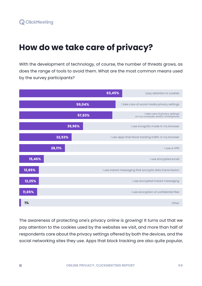# **How do we take care of privacy?**

With the development of technology, of course, the number of threats grows, as does the range of tools to avoid them. What are the most common means used by the survey participants?



The awareness of protecting one's privacy online is growing! It turns out that we pay attention to the cookies used by the websites we visit, and more than half of respondents care about the privacy settings offered by both the devices, and the social networking sites they use. Apps that block tracking are also quite popular,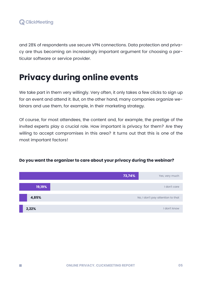

 $\mathcal{C}^{\mathcal{A}}$ 

and 28% of respondents use secure VPN connections. Data protection and privacy are thus becoming an increasingly important argument for choosing a particular software or service provider.

# **Privacy during online events**

We take part in them very willingly. Very often, it only takes a few clicks to sign up for an event and attend it. But, on the other hand, many companies organize webinars and use them, for example, in their marketing strategy.

Of course, for most attendees, the content and, for example, the prestige of the invited experts play a crucial role. How important is privacy for them? Are they willing to accept compromises in this area? It turns out that this is one of the most important factors!



#### **Do you want the organizer to care about your privacy during the webinar?**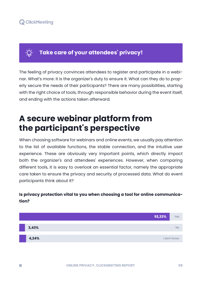

**College** 

## **Take care of your attendees' privacy!**

The feeling of privacy convinces attendees to register and participate in a webinar. What's more: it is the organizer's duty to ensure it. What can they do to properly secure the needs of their participants? There are many possibilities, starting with the right choice of tools, through responsible behavior during the event itself, and ending with the actions taken afterward.

# **A secure webinar platform from the participant's perspective**

When choosing software for webinars and online events, we usually pay attention to the list of available functions, the stable connection, and the intuitive user experience. These are obviously very important points, which directly impact both the organizer's and attendees' experiences. However, when comparing different tools, it is easy to overlook an essential factor, namely the appropriate care taken to ensure the privacy and security of processed data. What do event participants think about it?

#### **Is privacy protection vital to you when choosing a tool for online communication?**

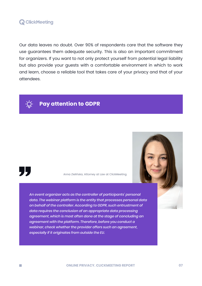

Our data leaves no doubt. Over 90% of respondents care that the software they use guarantees them adequate security. This is also an important commitment for organizers. If you want to not only protect yourself from potential legal liability but also provide your guests with a comfortable environment in which to work and learn, choose a reliable tool that takes care of your privacy and that of your attendees.



## **Pay attention to GDPR**



m.

Anna Zielińska, Attorney at Law at ClickMeeting

*An event organizer acts as the controller of participants' personal data. The webinar platform is the entity that processes personal data on behalf of the controller. According to GDPR, such entrustment of data requires the conclusion of an appropriate data processing agreement, which is most often done at the stage of concluding an agreement with the platform. Therefore, before you conduct a webinar, check whether the provider offers such an agreement, especially if it originates from outside the EU.*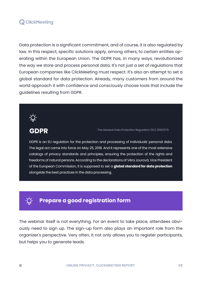Data protection is a significant commitment, and of course, it is also regulated by law. In this respect, specific solutions apply, among others, to certain entities operating within the European Union. The GDPR has, in many ways, revolutionized the way we store and process personal data. It's not just a set of regulations that European companies like ClickMeeting must respect. It's also an attempt to set a global standard for data protection. Already, many customers from around the world approach it with confidence and consciously choose tools that include the guidelines resulting from GDPR.



GDPR The General Data Protection Regulation (EU) 2016/679

GDPR is an EU regulation for the protection and processing of individuals' personal data. The legal act came into force on May 25, 2018. And it represents one of the most extensive catalogs of privacy standards and principles, ensuring the protection of the rights and freedoms of natural persons. According to the declarations of Věra Jourová, Vice President of the European Commission, it is supposed to set a **global standard for data protection** alongside the best practices in the data processing.

### **Prepare a good registration form**

The webinar itself is not everything. For an event to take place, attendees obviously need to sign up. The sign-up form also plays an important role from the organizer's perspective. Very often, it not only allows you to register participants, but helps you to generate leads.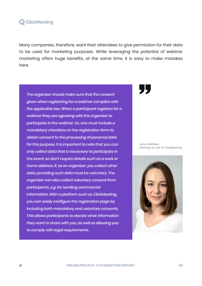Many companies, therefore, want their attendees to give permission for their data to be used for marketing purposes. While leveraging the potential of webinar marketing offers huge benefits, at the same time, it is easy to make mistakes here.

*The organizer should make sure that the consent given when registering for a webinar complies with the applicable law. When a participant registers for a webinar they are agreeing with the organizer to participate in the webinar. So, one must include a mandatory checkbox on the registration form to obtain consent to the processing of personal data for this purpose. It is important to note that you can only collect data that is necessary to participate in the event, so don't require details such as a work or home address. If, as an organizer, you collect other data, providing such data must be voluntary. The organizer can also collect voluntary consent from participants, e.g. for sending commercial information. With a platform such as ClickMeeting, you can easily configure the registration page by including both mandatory and voluntary consents. This allows participants to decide what information they want to share with you, as well as allowing you to comply with legal requirements.* 

Anna Zielińska, Attorney at Law at ClickMeeting

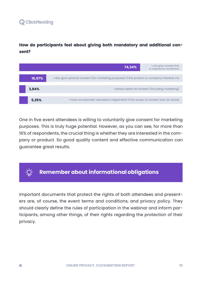$\mathcal{C}^{\mathcal{A}}$ 

**How do participants feel about giving both mandatory and additional consent?** 

|        | 74,34%                                                                                       | I only give consent that<br>is required for enrollment |
|--------|----------------------------------------------------------------------------------------------|--------------------------------------------------------|
|        |                                                                                              |                                                        |
| 16,57% | I also give optional consent (for marketing purposes) if the product or company interests me |                                                        |
|        |                                                                                              |                                                        |
| 3,84%  | I always select all consent (including marketing)                                            |                                                        |
|        |                                                                                              |                                                        |
| 5,25%  | I have occasionally canceled a registration if the scope of consent was too broad            |                                                        |

One in five event attendees is willing to voluntarily give consent for marketing purposes. This is truly huge potential. However, as you can see, for more than 16% of respondents, the crucial thing is whether they are interested in the company or product. So good quality content and effective communication can guarantee great results.



Important documents that protect the rights of both attendees and presenters are, of course, the event terms and conditions, and privacy policy. They should clearly define the rules of participation in the webinar and inform participants, among other things, of their rights regarding the protection of their privacy.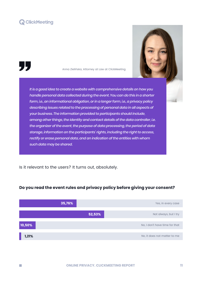

55

m.

Anna Zielińska, Attorney at Law at ClickMeeting



*It is a good idea to create a website with comprehensive details on how you handle personal data collected during the event. You can do this in a shorter form, i.e., an informational obligation, or in a longer form, i.e., a privacy policy describing issues related to the processing of personal data in all aspects of your business. The information provided to participants should include, among other things, the identity and contact details of the data controller, i.e. the organizer of the event, the purpose of data processing, the period of data storage, information on the participants' rights, including the right to access, rectify or erase personal data, and an indication of the entities with whom such data may be shared.* 

Is it relevant to the users? It turns out, absolutely.



#### **Do you read the event rules and privacy policy before giving your consent?**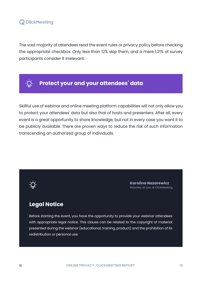The vast majority of attendees read the event rules or privacy policy before checking the appropriate checkbox. Only less than 12% skip them, and a mere 1.21% of survey participants consider it irrelevant.



## **Protect your and your attendees' data**

Skillful use of webinar and online meeting platform capabilities will not only allow you to protect your attendees' data but also that of hosts and presenters. After all, every event is a great opportunity to share knowledge, but not in every case you want it to be publicly available. There are proven ways to reduce the risk of such information transcending an authorized group of individuals.



**Karolina Nazarewicz** Attorney at Law at ClickMeeting

### **Legal Notice**

Before starting the event, you have the opportunity to provide your webinar attendees with appropriate legal notice. This clause can be related to the copyright of material presented during the webinar (educational, training, product) and the prohibition of its redistribution or personal use.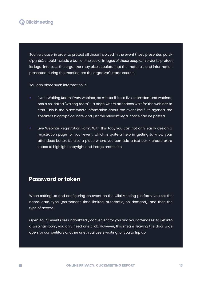Such a clause, in order to protect all those involved in the event (host, presenter, participants), should include a ban on the use of images of these people. In order to protect its legal interests, the organizer may also stipulate that the materials and information presented during the meeting are the organizer's trade secrets.

You can place such information in:

- Event Waiting Room. Every webinar, no matter if it is a live or on-demand webinar, has a so-called "waiting room" - a page where attendees wait for the webinar to start. This is the place where information about the event itself, its agenda, the speaker's biographical note, and just the relevant legal notice can be posted.
- Live Webinar Registration Form. With this tool, you can not only easily design a registration page for your event, which is quite a help in getting to know your attendees better. It's also a place where you can add a text box - create extra space to highlight copyright and image protection.

#### **Password or token**

m.

When setting up and configuring an event on the ClickMeeting platform, you set the name, date, type (permanent, time-limited, automatic, on-demand), and then the type of access.

Open-to-All events are undoubtedly convenient for you and your attendees: to get into a webinar room, you only need one click. However, this means leaving the door wide open for competitors or other unethical users waiting for you to trip up.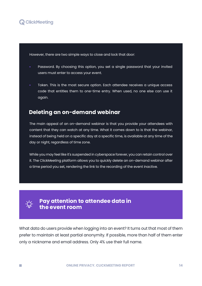

However, there are two simple ways to close and lock that door:

- Password. By choosing this option, you set a single password that your invited users must enter to access your event.
- Token. This is the most secure option. Each attendee receives a unique access code that entitles them to one-time entry. When used, no one else can use it again.

#### **Deleting an on-demand webinar**

The main appeal of an on-demand webinar is that you provide your attendees with content that they can watch at any time. What it comes down to is that the webinar, instead of being held on a specific day at a specific time, is available at any time of the day or night, regardless of time zone.

While you may feel like it's suspended in cyberspace forever, you can retain control over it. The ClickMeeting platform allows you to quickly delete an on-demand webinar after a time period you set, rendering the link to the recording of the event inactive.



m.

#### **Pay attention to attendee data in the event room**

What data do users provide when logging into an event? It turns out that most of them prefer to maintain at least partial anonymity. If possible, more than half of them enter only a nickname and email address. Only 4% use their full name.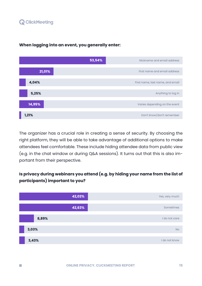$\mathcal{C}^{\mathcal{A}}$ 



#### **When logging into an event, you generally enter:**

The organizer has a crucial role in creating a sense of security. By choosing the right platform, they will be able to take advantage of additional options to make attendees feel comfortable. These include hiding attendee data from public view (e.g. in the chat window or during Q&A sessions). It turns out that this is also important from their perspective.

#### **Is privacy during webinars you attend (e.g. by hiding your name from the list of participants) important to you?**

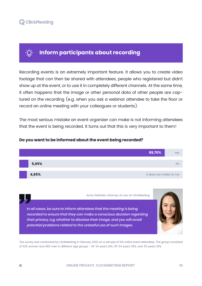

**College** 

### **Inform participants about recording**

Recording events is an extremely important feature. It allows you to create video footage that can then be shared with attendees, people who registered but didn't show up at the event, or to use it in completely different channels. At the same time, it often happens that the image or other personal data of other people are captured on the recording (e.g. when you ask a webinar attendee to take the floor or record an online meeting with your colleagues or students).

The most serious mistake an event organizer can make is not informing attendees that the event is being recorded. It turns out that this is very important to them!



#### **Do you want to be informed about the event being recorded?**

Anna Zielińska, Attorney at Law at ClickMeeting

In all cases, be sure to inform attendees that the meeting is being *recorded to ensure that they can make a conscious decision regarding their privacy, e.g. whether to disclose their image, and you will avoid potential problems related to the unlawful use of such images.*

The survey was conducted by ClickMeeting in February 2022 on a sample of 510 online event attendees. The group consisted of 52% women and 48% men in different age groups - 18-34 years 26%, 35-54 years 35%, over 55 years 39%.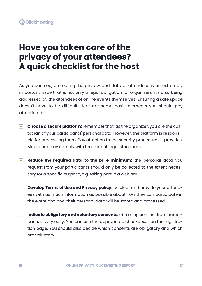

m.

# **Have you taken care of the privacy of your attendees? A quick checklist for the host**

As you can see, protecting the privacy and data of attendees is an extremely important issue that is not only a legal obligation for organizers; it's also being addressed by the attendees of online events themselves! Ensuring a safe space doesn't have to be difficult. Here are some basic elements you should pay attention to.

- **Choose a secure platform:** remember that, as the organizer, you are the custodian of your participants' personal data. However, the platform is responsible for processing them. Pay attention to the security procedures it provides. Make sure they comply with the current legal standards.
- **Reduce the required data to the bare minimum:** the personal data you request from your participants should only be collected to the extent necessary for a specific purpose, e.g. taking part in a webinar.
- **Develop Terms of Use and Privacy policy:** be clear and provide your attendees with as much information as possible about how they can participate in the event and how their personal data will be stored and processed.
- **Indicate obligatory and voluntary consents:** obtaining consent from participants is very easy. You can use the appropriate checkboxes on the registration page. You should also decide which consents are obligatory and which are voluntary.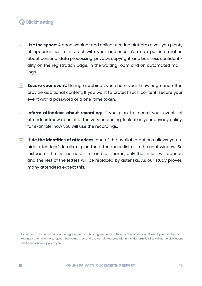**College** 

- **Use the space:** A good webinar and online meeting platform gives you plenty of opportunities to interact with your audience. You can put information about personal data processing, privacy, copyright, and business confidentiality on the registration page, in the waiting room and on automated mailings.
- **Secure your event:** During a webinar, you share your knowledge and often provide additional content. If you want to protect such content, secure your event with a password or a one-time token.
- **Inform attendees about recording:** if you plan to record your event, let attendees know about it at the very beginning. Include in your privacy policy, for example, how you will use the recordings.
- **Hide the identities of attendees:** one of the available options allows you to  $|\nabla|$ hide attendees' details, e.g. on the attendance list or in the chat window. So instead of the first name or first and last name, only the initials will appear, and the rest of the letters will be replaced by asterisks. As our study proves, many attendees expect this.

Disclaimer. The information on the legal aspects of hosting webinars in this guide is based on EU law. If you use the Click-Meeting Platform in the European Economic Area and use certain features within the Platform, it is likely that the obligations mentioned above apply to you.